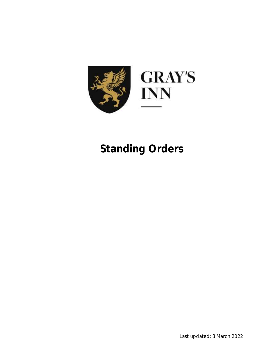

# **Standing Orders**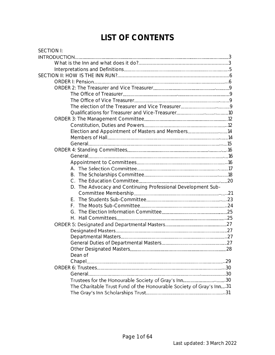## **LIST OF CONTENTS**

| <b>SECTION I:</b>                                                   |     |
|---------------------------------------------------------------------|-----|
|                                                                     |     |
|                                                                     |     |
|                                                                     |     |
|                                                                     |     |
|                                                                     |     |
|                                                                     |     |
|                                                                     |     |
|                                                                     |     |
|                                                                     |     |
|                                                                     |     |
|                                                                     |     |
|                                                                     |     |
| Election and Appointment of Masters and Members14                   |     |
|                                                                     |     |
|                                                                     |     |
|                                                                     |     |
|                                                                     |     |
|                                                                     |     |
|                                                                     |     |
|                                                                     |     |
|                                                                     |     |
| The Advocacy and Continuing Professional Development Sub-<br>D.     |     |
|                                                                     |     |
| F.                                                                  |     |
|                                                                     |     |
|                                                                     |     |
|                                                                     |     |
|                                                                     |     |
|                                                                     |     |
|                                                                     |     |
|                                                                     |     |
|                                                                     | .28 |
| Dean of                                                             |     |
|                                                                     |     |
|                                                                     |     |
| Trustees for the Honourable Society of Gray's Inn30                 |     |
| The Charitable Trust Fund of the Honourable Society of Gray's Inn31 |     |
|                                                                     |     |
|                                                                     |     |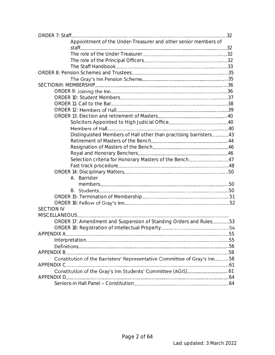| Appointment of the Under-Treasurer and other senior members of           |  |
|--------------------------------------------------------------------------|--|
|                                                                          |  |
|                                                                          |  |
|                                                                          |  |
|                                                                          |  |
|                                                                          |  |
|                                                                          |  |
|                                                                          |  |
|                                                                          |  |
|                                                                          |  |
|                                                                          |  |
|                                                                          |  |
|                                                                          |  |
|                                                                          |  |
|                                                                          |  |
| Distinguished Members of Hall other than practising barristers43         |  |
|                                                                          |  |
|                                                                          |  |
|                                                                          |  |
| Selection criteria for Honorary Masters of the Bench47                   |  |
|                                                                          |  |
|                                                                          |  |
| A. Barrister                                                             |  |
|                                                                          |  |
|                                                                          |  |
|                                                                          |  |
|                                                                          |  |
| <b>SECTION IV</b>                                                        |  |
|                                                                          |  |
| ORDER 17: Amendment and Suspension of Standing Orders and Rules53        |  |
|                                                                          |  |
|                                                                          |  |
|                                                                          |  |
|                                                                          |  |
|                                                                          |  |
| Constitution of the Barristers' Representative Committee of Gray's Inn58 |  |
| APPENDIX C                                                               |  |
|                                                                          |  |
|                                                                          |  |
|                                                                          |  |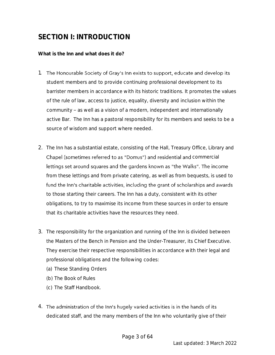## **SECTION I: INTRODUCTION**

**What is the Inn and what does it do?**

- 1. The Honourable Society of Gray's Inn exists to support, educate and develop its student members and to provide continuing professional development to its barrister members in accordance with its historic traditions. It promotes the values of the rule of law, access to justice, equality, diversity and inclusion within the community - as well as a vision of a modern, independent and internationally active Bar. The Inn has a pastoral responsibility for its members and seeks to be a source of wisdom and support where needed.
- 2. The Inn has a substantial estate, consisting of the Hall, Treasury Office, Library and Chapel (sometimes referred to as "Domus") and residential and commercial lettings set around squares and the gardens known as "the Walks". The income from these lettings and from private catering, as well as from bequests, is used to fund the Inn's charitable activities, including the grant of scholarships and awards to those starting their careers. The Inn has a duty, consistent with its other obligations, to try to maximise its income from these sources in order to ensure that its charitable activities have the resources they need.
- 3. The responsibility for the organization and running of the Inn is divided between the Masters of the Bench in Pension and the Under-Treasurer, its Chief Executive. They exercise their respective responsibilities in accordance with their legal and professional obligations and the following codes:
	- (a) These Standing Orders
	- (b) The Book of Rules
	- (c) The Staff Handbook.
- 4. The administration of the Inn's hugely varied activities is in the hands of its dedicated staff, and the many members of the Inn who voluntarily give of their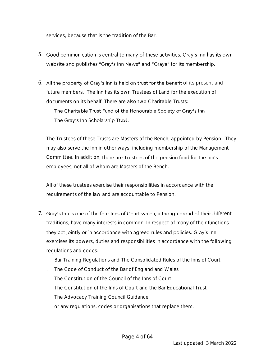services, because that is the tradition of the Bar.

- 5. Good communication is central to many of these activities. Gray's Inn has its own website and publishes "Gray's Inn News" and "Graya" for its membership.
- 6. All the property of Gray's Inn is held on trust for the benefit of its present and future members. The Inn has its own Trustees of Land for the execution of documents on its behalf. There are also two Charitable Trusts: The Charitable Trust Fund of the Honourable Society of Gray's Inn The Gray's Inn Scholarship Trust.

The Trustees of these Trusts are Masters of the Bench, appointed by Pension. They may also serve the Inn in other ways, including membership of the Management Committee. In addition, there are Trustees of the pension fund for the Inn's employees, not all of whom are Masters of the Bench.

All of these trustees exercise their responsibilities in accordance with the requirements of the law and are accountable to Pension.

7. Gray's Inn is one of the four Inns of Court which, although proud of their different traditions, have many interests in common. In respect of many of their functions they act jointly or in accordance with agreed rules and policies. Gray's Inn exercises its powers, duties and responsibilities in accordance with the following regulations and codes:

Bar Training Regulations and The Consolidated Rules of the Inns of Court

. The Code of Conduct of the Bar of England and Wales The Constitution of the Council of the Inns of Court The Constitution of the Inns of Court and the Bar Educational Trust The Advocacy Training Council Guidance or any regulations, codes or organisations that replace them.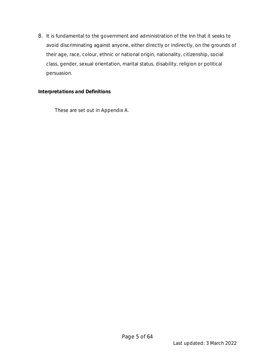8. It is fundamental to the government and administration of the Inn that it seeks to avoid discriminating against anyone, either directly or indirectly, on the grounds of their age, race, colour, ethnic or national origin, nationality, citizenship, social class, gender, sexual orientation, marital status, disability, religion or political persuasion.

#### *Interpretations and Definitions*

These are set out in Appendix A.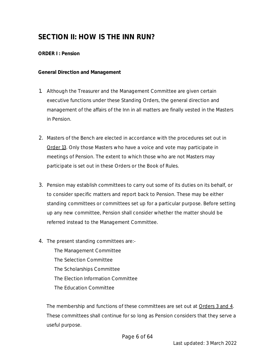## **SECTION II: HOW IS THE INN RUN?**

*ORDER I : Pension*

**General Direction and Management**

- 1. Although the Treasurer and the Management Committee are given certain executive functions under these Standing Orders, the general direction and management of the affairs of the Inn in all matters are finally vested in the Masters in Pension.
- 2. Masters of the Bench are elected in accordance with the procedures set out in Order 13. Only those Masters who have a voice and vote may participate in meetings of Pension. The extent to which those who are not Masters may participate is set out in these Orders or the Book of Rules.
- 3. Pension may establish committees to carry out some of its duties on its behalf, or to consider specific matters and report back to Pension. These may be either standing committees or committees set up for a particular purpose. Before setting up any new committee, Pension shall consider whether the matter should be referred instead to the Management Committee.
- 4. The present standing committees are:-

The Management Committee The Selection Committee The Scholarships Committee The Election Information Committee The Education Committee

The membership and functions of these committees are set out at Orders 3 and 4. These committees shall continue for so long as Pension considers that they serve a useful purpose.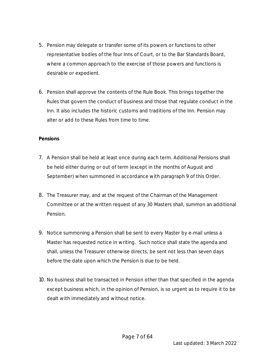- 5. Pension may delegate or transfer some of its powers or functions to other representative bodies of the four Inns of Court, or to the Bar Standards Board, where a common approach to the exercise of those powers and functions is desirable or expedient.
- 6. Pension shall approve the contents of the Rule Book. This brings together the Rules that govern the conduct of business and those that regulate conduct in the Inn. It also includes the historic customs and traditions of the Inn. Pension may alter or add to these Rules from time to time.

#### **Pensions**

- 7. A Pension shall be held at least once during each term. Additional Pensions shall be held either during or out of term (except in the months of August and September) when summoned in accordance with paragraph 9 of this Order.
- 8. The Treasurer may, and at the request of the Chairman of the Management Committee or at the written request of any 30 Masters shall, summon an additional Pension.
- 9. Notice summoning a Pension shall be sent to every Master by e-mail unless a Master has requested notice in writing. Such notice shall state the agenda and shall, unless the Treasurer otherwise directs, be sent not less than seven days before the date upon which the Pension is due to be held.
- 10. No business shall be transacted in Pension other than that specified in the agenda except business which, in the opinion of Pension, is so urgent as to require it to be dealt with immediately and without notice.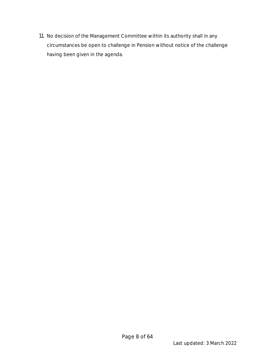11. No decision of the Management Committee within its authority shall in any circumstances be open to challenge in Pension without notice of the challenge having been given in the agenda.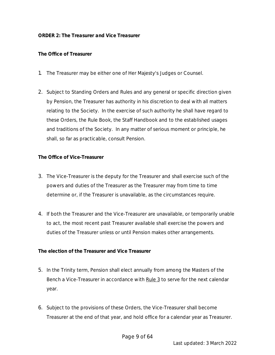#### **The Office of Treasurer**

- 1. The Treasurer may be either one of Her Majesty's Judges or Counsel.
- 2. Subject to Standing Orders and Rules and any general or specific direction given by Pension, the Treasurer has authority in his discretion to deal with all matters relating to the Society. In the exercise of such authority he shall have regard to these Orders, the Rule Book, the Staff Handbook and to the established usages and traditions of the Society. In any matter of serious moment or principle, he shall, so far as practicable, consult Pension.

**The Office of Vice-Treasurer**

- 3. The Vice-Treasurer is the deputy for the Treasurer and shall exercise such of the powers and duties of the Treasurer as the Treasurer may from time to time determine or, if the Treasurer is unavailable, as the circumstances require.
- 4. If both the Treasurer and the Vice-Treasurer are unavailable, or temporarily unable to act, the most recent past Treasurer available shall exercise the powers and duties of the Treasurer unless or until Pension makes other arrangements.

**The election of the Treasurer and Vice Treasurer**

- 5. In the Trinity term, Pension shall elect annually from among the Masters of the Bench a Vice-Treasurer in accordance with Rule 3 to serve for the next calendar year.
- 6. Subject to the provisions of these Orders, the Vice-Treasurer shall become Treasurer at the end of that year, and hold office for a calendar year as Treasurer.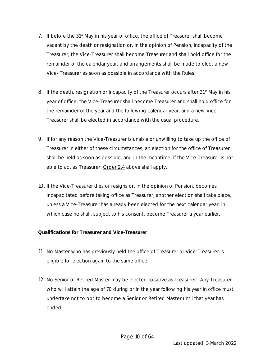- 7. If before the 31<sup>st</sup> May in his year of office, the office of Treasurer shall become vacant by the death or resignation or, in the opinion of Pension, incapacity of the Treasurer, the Vice-Treasurer shall become Treasurer and shall hold office for the remainder of the calendar year, and arrangements shall be made to elect a new Vice- Treasurer as soon as possible in accordance with the Rules.
- 8. If the death, resignation or incapacity of the Treasurer occurs after 31<sup>st</sup> May in his year of office, the Vice-Treasurer shall become Treasurer and shall hold office for the remainder of the year and the following calendar year, and a new Vice-Treasurer shall be elected in accordance with the usual procedure.
- 9. If for any reason the Vice-Treasurer is unable or unwilling to take up the office of Treasurer in either of these circumstances, an election for the office of Treasurer shall be held as soon as possible, and in the meantime, if the Vice-Treasurer is not able to act as Treasurer, Order 2.4 above shall apply.
- 10. If the Vice-Treasurer dies or resigns or, in the opinion of Pension, becomes incapacitated before taking office as Treasurer, another election shall take place, unless a Vice-Treasurer has already been elected for the next calendar year, in which case he shall, subject to his consent, become Treasurer a year earlier.

**Qualifications for Treasurer and Vice-Treasurer**

- 11. No Master who has previously held the office of Treasurer or Vice-Treasurer is eligible for election again to the same office.
- 12. No Senior or Retired Master may be elected to serve as Treasurer. Any Treasurer who will attain the age of 70 during or in the year following his year in office must undertake not to opt to become a Senior or Retired Master until that year has ended.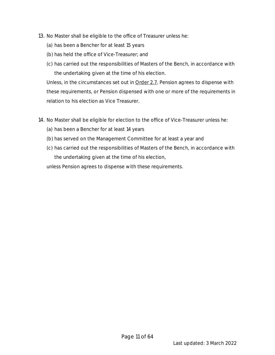- 13. No Master shall be eligible to the office of Treasurer unless he:
	- (a) has been a Bencher for at least 15 years
	- (b) has held the office of Vice-Treasurer; and
	- (c) has carried out the responsibilities of Masters of the Bench, in accordance with the undertaking given at the time of his election.

Unless, in the circumstances set out in Order 2.7, Pension agrees to dispense with these requirements, or Pension dispensed with one or more of the requirements in relation to his election as Vice Treasurer.

- 14. No Master shall be eligible for election to the office of Vice-Treasurer unless he:
	- (a) has been a Bencher for at least 14 years
	- (b) has served on the Management Committee for at least a year and
	- (c) has carried out the responsibilities of Masters of the Bench, in accordance with the undertaking given at the time of his election,

unless Pension agrees to dispense with these requirements.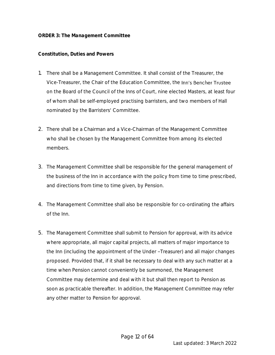#### **Constitution, Duties and Powers**

- 1. There shall be a Management Committee. It shall consist of the Treasurer, the Vice-Treasurer, the Chair of the Education Committee, the Inn's Bencher Trustee on the Board of the Council of the Inns of Court, nine elected Masters, at least four of whom shall be self-employed practising barristers, and two members of Hall nominated by the Barristers' Committee.
- 2. There shall be a Chairman and a Vice-Chairman of the Management Committee who shall be chosen by the Management Committee from among its elected members.
- 3. The Management Committee shall be responsible for the general management of the business of the Inn in accordance with the policy from time to time prescribed, and directions from time to time given, by Pension.
- 4. The Management Committee shall also be responsible for co-ordinating the affairs of the Inn.
- 5. The Management Committee shall submit to Pension for approval, with its advice where appropriate, all major capital projects, all matters of major importance to the Inn (including the appointment of the Under-Treasurer) and all major changes proposed. Provided that, if it shall be necessary to deal with any such matter at a time when Pension cannot conveniently be summoned, the Management Committee may determine and deal with it but shall then report to Pension as soon as practicable thereafter. In addition, the Management Committee may refer any other matter to Pension for approval.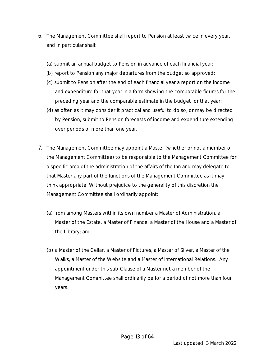- 6. The Management Committee shall report to Pension at least twice in every year, and in particular shall:
	- (a) submit an annual budget to Pension in advance of each financial year;
	- (b) report to Pension any major departures from the budget so approved;
	- (c) submit to Pension after the end of each financial year a report on the income and expenditure for that year in a form showing the comparable figures for the preceding year and the comparable estimate in the budget for that year;
	- (d) as often as it may consider it practical and useful to do so, or may be directed by Pension, submit to Pension forecasts of income and expenditure extending over periods of more than one year.
- 7. The Management Committee may appoint a Master (whether or not a member of the Management Committee) to be responsible to the Management Committee for a specific area of the administration of the affairs of the Inn and may delegate to that Master any part of the functions of the Management Committee as it may think appropriate. Without prejudice to the generality of this discretion the Management Committee shall ordinarily appoint:
	- (a) from among Masters within its own number a Master of Administration, a Master of the Estate, a Master of Finance, a Master of the House and a Master of the Library; and
	- (b) a Master of the Cellar, a Master of Pictures, a Master of Silver, a Master of the Walks, a Master of the Website and a Master of International Relations. Any appointment under this sub-Clause of a Master not a member of the Management Committee shall ordinarily be for a period of not more than four years.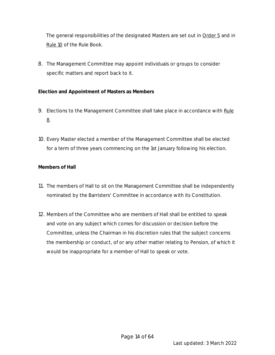The general responsibilities of the designated Masters are set out in **Order 5** and in Rule 10 of the Rule Book.

8. The Management Committee may appoint individuals or groups to consider specific matters and report back to it.

**Election and Appointment of Masters as Members**

- 9. Elections to the Management Committee shall take place in accordance with Rule 8.
- 10. Every Master elected a member of the Management Committee shall be elected for a term of three years commencing on the 1st January following his election.

#### **Members of Hall**

- 11. The members of Hall to sit on the Management Committee shall be independently nominated by the Barristers' Committee in accordance with its Constitution.
- 12. Members of the Committee who are members of Hall shall be entitled to speak and vote on any subject which comes for discussion or decision before the Committee, unless the Chairman in his discretion rules that the subject concerns the membership or conduct, of or any other matter relating to Pension, of which it would be inappropriate for a member of Hall to speak or vote.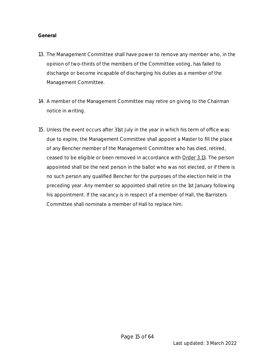#### **General**

- 13. The Management Committee shall have power to remove any member who, in the opinion of two-thirds of the members of the Committee voting, has failed to discharge or become incapable of discharging his duties as a member of the Management Committee.
- 14. A member of the Management Committee may retire on giving to the Chairman notice in writing.
- 15. Unless the event occurs after 31st July in the year in which his term of office was due to expire, the Management Committee shall appoint a Master to fill the place of any Bencher member of the Management Committee who has died, retired, ceased to be eligible or been removed in accordance with Order 3.13. The person appointed shall be the next person in the ballot who was not elected, or if there is no such person any qualified Bencher for the purposes of the election held in the preceding year. Any member so appointed shall retire on the 1st January following his appointment. If the vacancy is in respect of a member of Hall, the Barristers Committee shall nominate a member of Hall to replace him.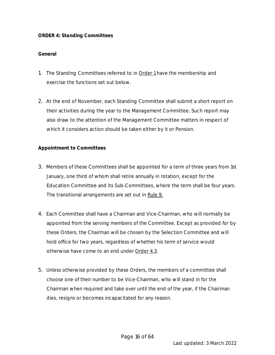#### *ORDER 4: Standing Committees*

#### **General**

- 1. The Standing Committees referred to in **Order 1** have the membership and exercise the functions set out below.
- 2. At the end of November, each Standing Committee shall submit a short report on their activities during the year to the Management Committee. Such report may also draw to the attention of the Management Committee matters in respect of which it considers action should be taken either by it or Pension.

#### **Appointment to Committees**

- 3. Members of these Committees shall be appointed for a term of three years from 1st January, one third of whom shall retire annually in rotation, except for the Education Committee and its Sub-Committees, where the term shall be four years. The transitional arrangements are set out in Rule 9.
- 4. Each Committee shall have a Chairman and Vice-Chairman, who will normally be appointed from the serving members of the Committee. Except as provided for by these Orders, the Chairman will be chosen by the Selection Committee and will hold office for two years, regardless of whether his term of service would otherwise have come to an end under Order 4.3.
- 5. Unless otherwise provided by these Orders, the members of a committee shall choose one of their number to be Vice-Chairman, who will stand in for the Chairman when required and take over until the end of the year, if the Chairman dies, resigns or becomes incapacitated for any reason.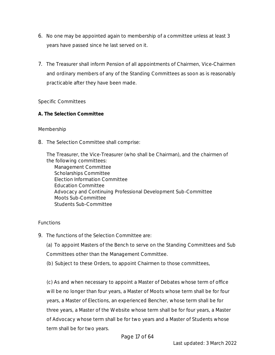- 6. No one may be appointed again to membership of a committee unless at least 3 years have passed since he last served on it.
- 7. The Treasurer shall inform Pension of all appointments of Chairmen, Vice-Chairmen and ordinary members of any of the Standing Committees as soon as is reasonably practicable after they have been made.

#### Specific Committees

**A. The Selection Committee**

#### Membership

8. The Selection Committee shall comprise:

The Treasurer, the Vice-Treasurer (who shall be Chairman), and the chairmen of the following committees:

Management Committee Scholarships Committee Election Information Committee Education Committee Advocacy and Continuing Professional Development Sub-Committee Moots Sub-Committee Students Sub-Committee

#### Functions

9. The functions of the Selection Committee are:

(a) To appoint Masters of the Bench to serve on the Standing Committees and Sub Committees other than the Management Committee.

(b) Subject to these Orders, to appoint Chairmen to those committees,

(c) As and when necessary to appoint a Master of Debates whose term of office will be no longer than four years, a Master of Moots whose term shall be for four years, a Master of Elections, an experienced Bencher, whose term shall be for three years, a Master of the Website whose term shall be for four years, a Master of Advocacy whose term shall be for two years and a Master of Students whose term shall be for two years.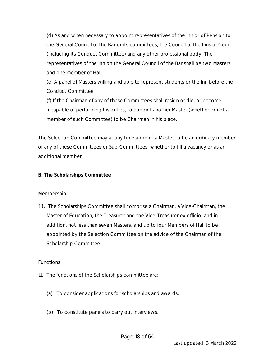(d) As and when necessary to appoint representatives of the Inn or of Pension to the General Council of the Bar or its committees, the Council of the Inns of Court (including its Conduct Committee) and any other professional body. The representatives of the Inn on the General Council of the Bar shall be two Masters and one member of Hall.

(e) A panel of Masters willing and able to represent students or the Inn before the Conduct Committee

(f) If the Chairman of any of these Committees shall resign or die, or become incapable of performing his duties, to appoint another Master (whether or not a member of such Committee) to be Chairman in his place.

The Selection Committee may at any time appoint a Master to be an ordinary member of any of these Committees or Sub-Committees, whether to fill a vacancy or as an additional member.

**B. The Scholarships Committee**

Membership

10. The Scholarships Committee shall comprise a Chairman, a Vice-Chairman, the Master of Education, the Treasurer and the Vice-Treasurer ex-officio, and in addition, not less than seven Masters, and up to four Members of Hall to be appointed by the Selection Committee on the advice of the Chairman of the Scholarship Committee.

Functions

- 11. The functions of the Scholarships committee are:
	- (a) To consider applications for scholarships and awards.
	- (b) To constitute panels to carry out interviews.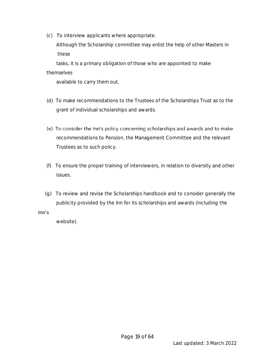(c) To interview applicants where appropriate.

 Although the Scholarship committee may enlist the help of other Masters in these

 tasks, it is a primary obligation of those who are appointed to make themselves

available to carry them out.

- (d) To make recommendations to the Trustees of the Scholarships Trust as to the grant of individual scholarships and awards.
- (e) To consider the Inn's policy concerning scholarships and awards and to make recommendations to Pension, the Management Committee and the relevant Trustees as to such policy.
- (f) To ensure the proper training of interviewers, in relation to diversity and other issues.
- (g) To review and revise the Scholarships handbook and to consider generally the publicity provided by the Inn for its scholarships and awards (including the

#### Inn's

website).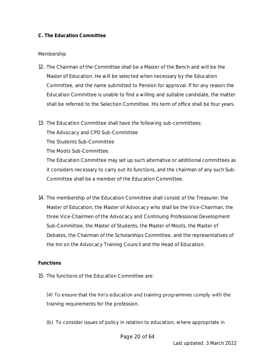#### **C. The Education Committee**

#### Membership

- 12. The Chairman of the Committee shall be a Master of the Bench and will be the Master of Education. He will be selected when necessary by the Education Committee, and the name submitted to Pension for approval. If for any reason the Education Committee is unable to find a willing and suitable candidate, the matter shall be referred to the Selection Committee. His term of office shall be four years.
- 13. The Education Committee shall have the following sub-committees:

The Advocacy and CPD Sub-Committee

The Students Sub-Committee

The Moots Sub-Committee.

The Education Committee may set up such alternative or additional committees as it considers necessary to carry out its functions, and the chairman of any such Sub-Committee shall be a member of the Education Committee.

14. The membership of the Education Committee shall consist of the Treasurer, the Master of Education, the Master of Advocacy who shall be the Vice-Chairman, the three Vice-Chairmen of the Advocacy and Continuing Professional Development Sub-Committee, the Master of Students, the Master of Moots, the Master of Debates, the Chairman of the Scholarships Committee, and the representatives of the Inn on the Advocacy Training Council and the Head of Education.

#### **Functions**

15. The functions of the Education Committee are:

(a) To ensure that the Inn's education and training programmes comply with the training requirements for the profession.

(b) To consider issues of policy in relation to education, where appropriate in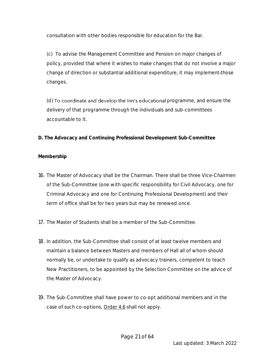consultation with other bodies responsible for education for the Bar.

(c) To advise the Management Committee and Pension on major changes of policy, provided that where it wishes to make changes that do not involve a major change of direction or substantial additional expenditure, it may implement those changes.

(d) To coordinate and develop the Inn's educational programme, and ensure the delivery of that programme through the individuals and sub-committees accountable to it.

**D. The Advocacy and Continuing Professional Development Sub-Committee**

#### **Membership**

- 16. The Master of Advocacy shall be the Chairman. There shall be three Vice-Chairmen of the Sub-Committee (one with specific responsibility for Civil Advocacy, one for Criminal Advocacy and one for Continuing Professional Development) and their term of office shall be for two years but may be renewed once.
- 17. The Master of Students shall be a member of the Sub-Committee.
- 18. In addition, the Sub-Committee shall consist of at least twelve members and maintain a balance between Masters and members of Hall all of whom should normally be, or undertake to qualify as advocacy trainers, competent to teach New Practitioners, to be appointed by the Selection Committee on the advice of the Master of Advocacy.
- 19. The Sub-Committee shall have power to co-opt additional members and in the case of such co-options, Order 4.6 shall not apply.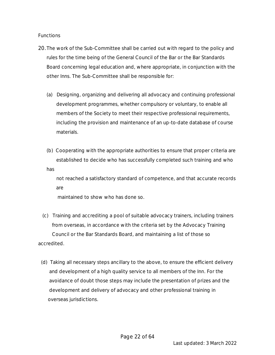**Functions** 

- 20.The work of the Sub-Committee shall be carried out with regard to the policy and rules for the time being of the General Council of the Bar or the Bar Standards Board concerning legal education and, where appropriate, in conjunction with the other Inns. The Sub-Committee shall be responsible for:
	- (a) Designing, organizing and delivering all advocacy and continuing professional development programmes, whether compulsory or voluntary, to enable all members of the Society to meet their respective professional requirements, including the provision and maintenance of an up-to-date database of course materials.
	- (b) Cooperating with the appropriate authorities to ensure that proper criteria are established to decide who has successfully completed such training and who has

 not reached a satisfactory standard of competence, and that accurate records are

maintained to show who has done so.

- (c) Training and accrediting a pool of suitable advocacy trainers, including trainers from overseas, in accordance with the criteria set by the Advocacy Training Council or the Bar Standards Board, and maintaining a list of those so accredited.
	- (d) Taking all necessary steps ancillary to the above, to ensure the efficient delivery and development of a high quality service to all members of the Inn. For the avoidance of doubt those steps may include the presentation of prizes and the development and delivery of advocacy and other professional training in overseas jurisdictions.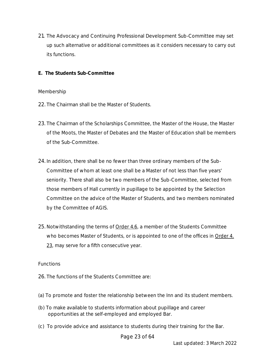- 21. The Advocacy and Continuing Professional Development Sub-Committee may set up such alternative or additional committees as it considers necessary to carry out its functions.
- **E. The Students Sub-Committee**

#### Membership

- 22. The Chairman shall be the Master of Students.
- 23. The Chairman of the Scholarships Committee, the Master of the House, the Master of the Moots, the Master of Debates and the Master of Education shall be members of the Sub-Committee.
- 24. In addition, there shall be no fewer than three ordinary members of the Sub-Committee of whom at least one shall be a Master of not less than five years' seniority. There shall also be two members of the Sub-Committee, selected from those members of Hall currently in pupillage to be appointed by the Selection Committee on the advice of the Master of Students, and two members nominated by the Committee of AGIS.
- 25. Notwithstanding the terms of Order 4.6, a member of the Students Committee who becomes Master of Students, or is appointed to one of the offices in  $Order 4$ . 23, may serve for a fifth consecutive year.

#### Functions

- 26. The functions of the Students Committee are:
- (a) To promote and foster the relationship between the Inn and its student members.
- (b) To make available to students information about pupillage and career opportunities at the self-employed and employed Bar.
- (c) To provide advice and assistance to students during their training for the Bar.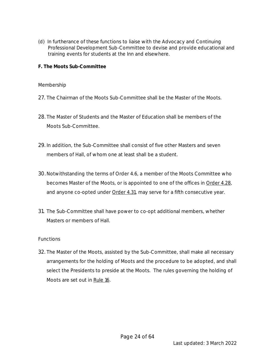- (d) In furtherance of these functions to liaise with the Advocacy and Continuing Professional Development Sub-Committee to devise and provide educational and training events for students at the Inn and elsewhere.
- **F. The Moots Sub-Committee**

#### Membership

- 27. The Chairman of the Moots Sub-Committee shall be the Master of the Moots.
- 28. The Master of Students and the Master of Education shall be members of the Moots Sub-Committee.
- 29. In addition, the Sub-Committee shall consist of five other Masters and seven members of Hall, of whom one at least shall be a student.
- 30.Notwithstanding the terms of Order 4.6, a member of the Moots Committee who becomes Master of the Moots, or is appointed to one of the offices in Order 4.28, and anyone co-opted under Order 4.31, may serve for a fifth consecutive year.
- 31. The Sub-Committee shall have power to co-opt additional members, whether Masters or members of Hall.

#### Functions

32. The Master of the Moots, assisted by the Sub-Committee, shall make all necessary arrangements for the holding of Moots and the procedure to be adopted, and shall select the Presidents to preside at the Moots. The rules governing the holding of Moots are set out in Rule 16.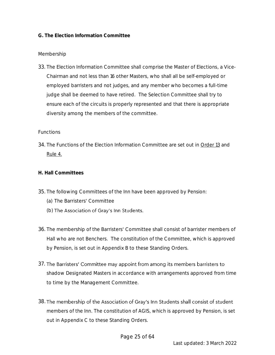#### **G. The Election Information Committee**

#### Membership

33. The Election Information Committee shall comprise the Master of Elections, a Vice-Chairman and not less than 16 other Masters, who shall all be self-employed or employed barristers and not judges, and any member who becomes a full-time judge shall be deemed to have retired. The Selection Committee shall try to ensure each of the circuits is properly represented and that there is appropriate diversity among the members of the committee.

#### Functions

- 34. The Functions of the Election Information Committee are set out in Order 13 and Rule 4.
- **H. Hall Committees**
- 35. The following Committees of the Inn have been approved by Pension:
	- (a) The Barristers' Committee
	- (b) The Association of Gray's Inn Students.
- 36. The membership of the Barristers' Committee shall consist of barrister members of Hall who are not Benchers. The constitution of the Committee, which is approved by Pension, is set out in Appendix B to these Standing Orders.
- 37. The Barristers' Committee may appoint from among its members barristers to shadow Designated Masters in accordance with arrangements approved from time to time by the Management Committee.
- 38. The membership of the Association of Gray's Inn Students shall consist of student members of the Inn. The constitution of AGIS, which is approved by Pension, is set out in Appendix C to these Standing Orders.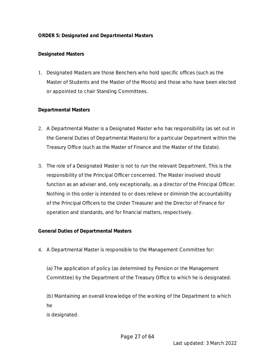#### *ORDER 5: Designated and Departmental Masters*

#### **Designated Masters**

1. Designated Masters are those Benchers who hold specific offices (such as the Master of Students and the Master of the Moots) and those who have been elected or appointed to chair Standing Committees.

#### **Departmental Masters**

- 2. A Departmental Master is a Designated Master who has responsibility (as set out in the General Duties of Departmental Masters) for a particular Department within the Treasury Office (such as the Master of Finance and the Master of the Estate).
- 3. The role of a Designated Master is not to run the relevant Department. This is the responsibility of the Principal Officer concerned. The Master involved should function as an adviser and, only exceptionally, as a director of the Principal Officer. Nothing in this order is intended to or does relieve or diminish the accountability of the Principal Officers to the Under Treasurer and the Director of Finance for operation and standards, and for financial matters, respectively.

**General Duties of Departmental Masters**

4. A Departmental Master is responsible to the Management Committee for:

(a) The application of policy (as determined by Pension or the Management Committee) by the Department of the Treasury Office to which he is designated.

 (b) Maintaining an overall knowledge of the working of the Department to which he

is designated.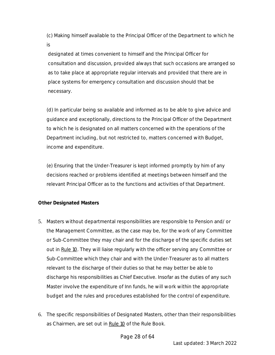(c) Making himself available to the Principal Officer of the Department to which he is

designated at times convenient to himself and the Principal Officer for consultation and discussion, provided always that such occasions are arranged so as to take place at appropriate regular intervals and provided that there are in place systems for emergency consultation and discussion should that be necessary.

(d) In particular being so available and informed as to be able to give advice and guidance and exceptionally, directions to the Principal Officer of the Department to which he is designated on all matters concerned with the operations of the Department including, but not restricted to, matters concerned with Budget, income and expenditure.

(e) Ensuring that the Under-Treasurer is kept informed promptly by him of any decisions reached or problems identified at meetings between himself and the relevant Principal Officer as to the functions and activities of that Department.

#### **Other Designated Masters**

- 5. Masters without departmental responsibilities are responsible to Pension and/or the Management Committee, as the case may be, for the work of any Committee or Sub-Committee they may chair and for the discharge of the specific duties set out in Rule 10. They will liaise regularly with the officer serving any Committee or Sub-Committee which they chair and with the Under-Treasurer as to all matters relevant to the discharge of their duties so that he may better be able to discharge his responsibilities as Chief Executive. Insofar as the duties of any such Master involve the expenditure of Inn funds, he will work within the appropriate budget and the rules and procedures established for the control of expenditure.
- 6. The specific responsibilities of Designated Masters, other than their responsibilities as Chairmen, are set out in Rule 10 of the Rule Book.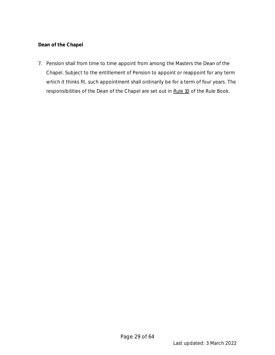**Dean of the Chapel** 

7. Pension shall from time to time appoint from among the Masters the Dean of the Chapel. Subject to the entitlement of Pension to appoint or reappoint for any term which it thinks fit, such appointment shall ordinarily be for a term of four years. The responsibilities of the Dean of the Chapel are set out in Rule 10 of the Rule Book.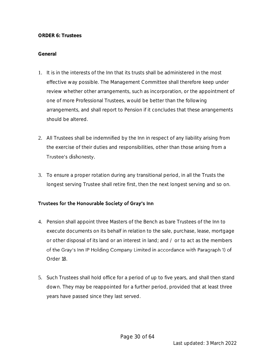#### *ORDER 6: Trustees*

#### **General**

- 1. It is in the interests of the Inn that its trusts shall be administered in the most effective way possible. The Management Committee shall therefore keep under review whether other arrangements, such as incorporation, or the appointment of one of more Professional Trustees, would be better than the following arrangements, and shall report to Pension if it concludes that these arrangements should be altered.
- 2. All Trustees shall be indemnified by the Inn in respect of any liability arising from the exercise of their duties and responsibilities, other than those arising from a Trustee's dishonesty.
- 3. To ensure a proper rotation during any transitional period, in all the Trusts the longest serving Trustee shall retire first, then the next longest serving and so on.

#### Trustees for the Honourable Society of Gray's Inn

- 4. Pension shall appoint three Masters of the Bench as bare Trustees of the Inn to execute documents on its behalf in relation to the sale, purchase, lease, mortgage or other disposal of its land or an interest in land; and / or to act as the members of the Gray's Inn IP Holding Company Limited in accordance with Paragraph 1) of Order 18.
- 5. Such Trustees shall hold office for a period of up to five years, and shall then stand down. They may be reappointed for a further period, provided that at least three years have passed since they last served.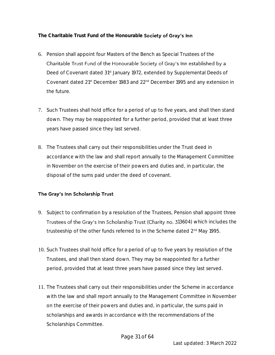**The Charitable Trust Fund of the Honourable** 

- 6. Pension shall appoint four Masters of the Bench as Special Trustees of the Charitable Trust Fund of the Honourable Society of Gray's Inn established by a Deed of Covenant dated 31<sup>st</sup> January 1972, extended by Supplemental Deeds of Covenant dated 21<sup>st</sup> December 1983 and 22<sup>nd</sup> December 1995 and any extension in the future.
- 7. Such Trustees shall hold office for a period of up to five years, and shall then stand down. They may be reappointed for a further period, provided that at least three years have passed since they last served.
- 8. The Trustees shall carry out their responsibilities under the Trust deed in accordance with the law and shall report annually to the Management Committee in November on the exercise of their powers and duties and, in particular, the disposal of the sums paid under the deed of covenant.

#### The Gray's Inn Scholarship Trust

- 9. Subject to confirmation by a resolution of the Trustees, Pension shall appoint three Trustees of the Gray's Inn Scholarship Trust (Charity no. 313604) which includes the trusteeship of the other funds referred to in the Scheme dated 2<sup>nd</sup> May 1995.
- 10. Such Trustees shall hold office for a period of up to five years by resolution of the Trustees, and shall then stand down. They may be reappointed for a further period, provided that at least three years have passed since they last served.
- 11. The Trustees shall carry out their responsibilities under the Scheme in accordance with the law and shall report annually to the Management Committee in November on the exercise of their powers and duties and, in particular, the sums paid in scholarships and awards in accordance with the recommendations of the Scholarships Committee.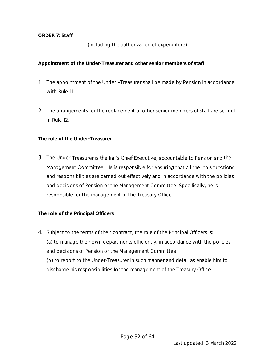#### *ORDER 7: Staff*

(Including the authorization of expenditure)

**Appointment of the Under-Treasurer and other senior members of staff**

- 1. The appointment of the Under-Treasurer shall be made by Pension in accordance with Rule 11.
- 2. The arrangements for the replacement of other senior members of staff are set out in Rule 12.

**The role of the Under-Treasurer**

3. The Under-Treasurer is the Inn's Chief Executive, accountable to Pension and the Management Committee. He is responsible for ensuring that all the Inn's functions and responsibilities are carried out effectively and in accordance with the policies and decisions of Pension or the Management Committee. Specifically, he is responsible for the management of the Treasury Office.

**The role of the Principal Officers**

4. Subject to the terms of their contract, the role of the Principal Officers is: (a) to manage their own departments efficiently, in accordance with the policies and decisions of Pension or the Management Committee; (b) to report to the Under-Treasurer in such manner and detail as enable him to discharge his responsibilities for the management of the Treasury Office.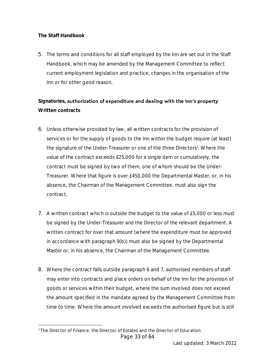**The Staff Handbook**

5. The terms and conditions for all staff employed by the Inn are set out in the Staff Handbook, which may be amended by the Management Committee to reflect current employment legislation and practice, changes in the organisation of the Inn or for other good reason.

### Signatories, authorization of expenditure and dealing with the Inn's property **Written contracts**

- 6. Unless otherwise provided by law, all written contracts for the provision of services or for the supply of goods to the Inn within the budget require (at least) the signature of the Under-Treasurer or one of the three Directors<sup>1</sup>. Where the value of the contract exceeds £25,000 for a single item or cumulatively, the contract must be signed by two of them, one of whom should be the Under-Treasurer. Where that figure is over £450,000 the Departmental Master, or, in his absence, the Chairman of the Management Committee, must also sign the contract.
- 7. A written contract which is outside the budget to the value of £5,000 or less must be signed by the Under-Treasurer and the Director of the relevant department. A written contract for over that amount (where the expenditure must be approved in accordance with paragraph 9(b)) must also be signed by the Departmental Master or, in his absence, the Chairman of the Management Committee.
- 8. Where the contract falls outside paragraph 6 and 7, authorised members of staff may enter into contracts and place orders on behalf of the Inn for the provision of goods or services within their budget, where the sum involved does not exceed the amount specified in the mandate agreed by the Management Committee from time to time. Where the amount involved exceeds the authorised figure but is still

Page 33 of 64 <sup>1</sup> The Director of Finance, the Director of Estates and the Director of Education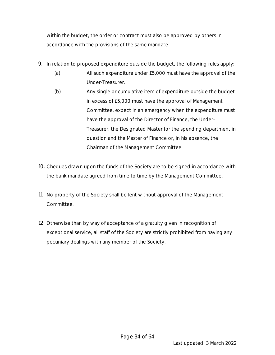within the budget, the order or contract must also be approved by others in accordance with the provisions of the same mandate.

- 9. In relation to proposed expenditure outside the budget, the following rules apply:
	- (a) All such expenditure under £5,000 must have the approval of the Under-Treasurer.
	- (b) Any single or cumulative item of expenditure outside the budget in excess of £5,000 must have the approval of Management Committee, expect in an emergency when the expenditure must have the approval of the Director of Finance, the Under-Treasurer, the Designated Master for the spending department in question and the Master of Finance or, in his absence, the Chairman of the Management Committee.
- 10. Cheques drawn upon the funds of the Society are to be signed in accordance with the bank mandate agreed from time to time by the Management Committee.
- 11. No property of the Society shall be lent without approval of the Management Committee.
- 12. Otherwise than by way of acceptance of a gratuity given in recognition of exceptional service, all staff of the Society are strictly prohibited from having any pecuniary dealings with any member of the Society.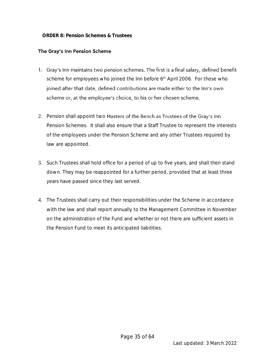#### *ORDER 8: Pension Schemes & Trustees*

#### The Gray's Inn Pension Scheme

- 1. Gray's Inn maintains two pension schemes. The first is a final salary, defined benefit scheme for employees who joined the Inn before 6<sup>th</sup> April 2006. For those who joined after that date, defined contributions are made either to the Inn's own scheme or, at the employee's choice, to his or her chosen scheme.
- 2. Pension shall appoint two Masters of the Bench as Trustees of the Gray's Inn Pension Schemes. It shall also ensure that a Staff Trustee to represent the interests of the employees under the Pension Scheme and any other Trustees required by law are appointed.
- 3. Such Trustees shall hold office for a period of up to five years, and shall then stand down. They may be reappointed for a further period, provided that at least three years have passed since they last served.
- 4. The Trustees shall carry out their responsibilities under the Scheme in accordance with the law and shall report annually to the Management Committee in November on the administration of the Fund and whether or not there are sufficient assets in the Pension Fund to meet its anticipated liabilities.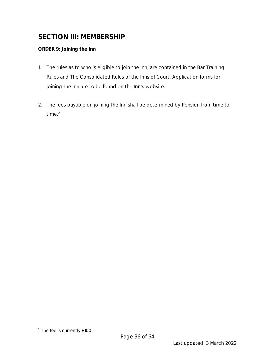## **SECTION III: MEMBERSHIP**

#### *ORDER 9: Joining the Inn*

- 1. The rules as to who is eligible to join the Inn, are contained in the Bar Training Rules and The Consolidated Rules of the Inns of Court. Application forms for joining the Inn are to be found on the Inn's website.
- 2. The fees payable on joining the Inn shall be determined by Pension from time to time.<sup>2</sup>

<sup>2</sup> The fee is currently £100.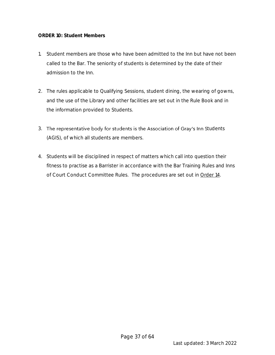#### *ORDER 10: Student Members*

- 1. Student members are those who have been admitted to the Inn but have not been called to the Bar. The seniority of students is determined by the date of their admission to the Inn.
- 2. The rules applicable to Qualifying Sessions, student dining, the wearing of gowns, and the use of the Library and other facilities are set out in the Rule Book and in the information provided to Students.
- 3. The representative body for students is the Association of Gray's Inn Students (AGIS), of which all students are members.
- 4. Students will be disciplined in respect of matters which call into question their fitness to practise as a Barrister in accordance with the Bar Training Rules and Inns of Court Conduct Committee Rules. The procedures are set out in Order 14.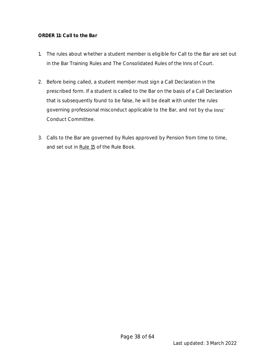#### *ORDER 11: Call to the Bar*

- 1. The rules about whether a student member is eligible for Call to the Bar are set out in the Bar Training Rules and The Consolidated Rules of the Inns of Court.
- 2. Before being called, a student member must sign a Call Declaration in the prescribed form. If a student is called to the Bar on the basis of a Call Declaration that is subsequently found to be false, he will be dealt with under the rules governing professional misconduct applicable to the Bar, and not by the Inns' Conduct Committee.
- 3. Calls to the Bar are governed by Rules approved by Pension from time to time, and set out in Rule 15 of the Rule Book.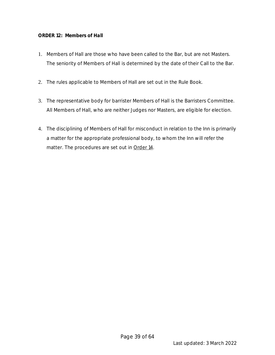#### *ORDER 12: Members of Hall*

- 1. Members of Hall are those who have been called to the Bar, but are not Masters. The seniority of Members of Hall is determined by the date of their Call to the Bar.
- 2. The rules applicable to Members of Hall are set out in the Rule Book.
- 3. The representative body for barrister Members of Hall is the Barristers Committee. All Members of Hall, who are neither Judges nor Masters, are eligible for election.
- 4. The disciplining of Members of Hall for misconduct in relation to the Inn is primarily a matter for the appropriate professional body, to whom the Inn will refer the matter. The procedures are set out in Order 14.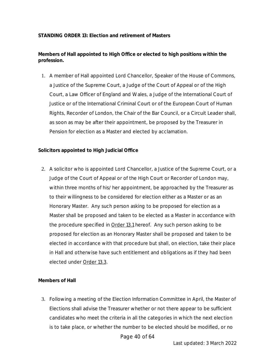#### **STANDING ORDER 13: Election and retirement of Masters**

**Members of Hall appointed to High Office or elected to high positions within the profession.**

1. A member of Hall appointed Lord Chancellor, Speaker of the House of Commons, a Justice of the Supreme Court, a Judge of the Court of Appeal or of the High Court, a Law Officer of England and Wales, a Judge of the International Court of Justice or of the International Criminal Court or of the European Court of Human Rights, Recorder of London, the Chair of the Bar Council, or a Circuit Leader shall, as soon as may be after their appointment, be proposed by the Treasurer in Pension for election as a Master and elected by acclamation.

**Solicitors appointed to High Judicial Office**

2. A solicitor who is appointed Lord Chancellor, a Justice of the Supreme Court, or a Judge of the Court of Appeal or of the High Court or Recorder of London may, within three months of his/her appointment, be approached by the Treasurer as to their willingness to be considered for election either as a Master or as an Honorary Master. Any such person asking to be proposed for election as a Master shall be proposed and taken to be elected as a Master in accordance with the procedure specified in Order 13.1 hereof. Any such person asking to be proposed for election as an Honorary Master shall be proposed and taken to be elected in accordance with that procedure but shall, on election, take their place in Hall and otherwise have such entitlement and obligations as if they had been elected under Order 13.3.

**Members of Hall**

3. Following a meeting of the Election Information Committee in April, the Master of Elections shall advise the Treasurer whether or not there appear to be sufficient candidates who meet the criteria in all the categories in which the next election is to take place, or whether the number to be elected should be modified, or no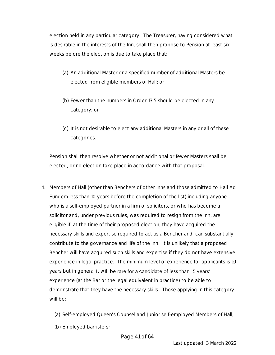election held in any particular category. The Treasurer, having considered what is desirable in the interests of the Inn, shall then propose to Pension at least six weeks before the election is due to take place that:

- (a) An additional Master or a specified number of additional Masters be elected from eligible members of Hall; or
- (b) Fewer than the numbers in Order 13.5 should be elected in any category; or
- (c) It is not desirable to elect any additional Masters in any or all of these categories.

Pension shall then resolve whether or not additional or fewer Masters shall be elected, or no election take place in accordance with that proposal.

- 4. Members of Hall (other than Benchers of other Inns and those admitted to Hall Ad Eundem less than 10 years before the completion of the list) including anyone who is a self-employed partner in a firm of solicitors, or who has become a solicitor and, under previous rules, was required to resign from the Inn, are eligible if, at the time of their proposed election, they have acquired the necessary skills and expertise required to act as a Bencher and can substantially contribute to the governance and life of the Inn. It is unlikely that a proposed Bencher will have acquired such skills and expertise if they do not have extensive experience in legal practice. The minimum level of experience for applicants is 10 years but in general it will be rare for a candidate of less than 15 years' experience (at the Bar or the legal equivalent in practice) to be able to demonstrate that they have the necessary skills. Those applying in this category will be:
	- (a) Self-employed Queen's Counsel and Junior self-employed Members of Hall;
	- (b) Employed barristers;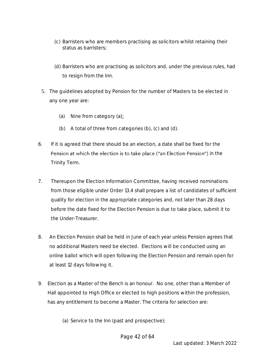- (c) Barristers who are members practising as solicitors whilst retaining their status as barristers;
- (d) Barristers who are practising as solicitors and, under the previous rules, had to resign from the Inn.
- 5. The guidelines adopted by Pension for the number of Masters to be elected in any one year are:
	- (a) Nine from category  $(a)$ ;
	- (b) A total of three from categories (b), (c) and (d).
- 6. If it is agreed that there should be an election, a date shall be fixed for the Pension at which the election is to take place ("an Election Pension") in the Trinity Term.
- 7. Thereupon the Election Information Committee, having received nominations from those eligible under Order 13.4 shall prepare a list of candidates of sufficient quality for election in the appropriate categories and, not later than 28 days before the date fixed for the Election Pension is due to take place, submit it to the Under-Treasurer.
- 8. An Election Pension shall be held in June of each year unless Pension agrees that no additional Masters need be elected. Elections will be conducted using an online ballot which will open following the Election Pension and remain open for at least 12 days following it.
- 9. Election as a Master of the Bench is an honour. No one, other than a Member of Hall appointed to High Office or elected to high positions within the profession, has any entitlement to become a Master. The criteria for selection are:
	- (a) Service to the Inn (past and prospective);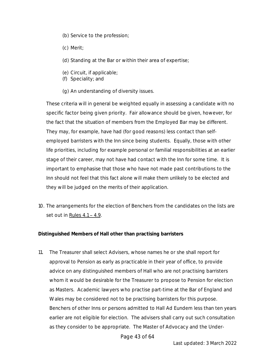- (b) Service to the profession;
- (c) Merit;
- (d) Standing at the Bar or within their area of expertise;
- (e) Circuit, if applicable;
- (f) Speciality; and
- (g) An understanding of diversity issues.

These criteria will in general be weighted equally in assessing a candidate with no specific factor being given priority. Fair allowance should be given, however, for the fact that the situation of members from the Employed Bar may be different. They may, for example, have had (for good reasons) less contact than selfemployed barristers with the Inn since being students. Equally, those with other life priorities, including for example personal or familial responsibilities at an earlier stage of their career, may not have had contact with the Inn for some time. It is important to emphasise that those who have not made past contributions to the Inn should not feel that this fact alone will make them unlikely to be elected and they will be judged on the merits of their application.

10. The arrangements for the election of Benchers from the candidates on the lists are set out in Rules  $4.1 - 4.9$ .

**Distinguished Members of Hall other than practising barristers**

11. The Treasurer shall select Advisers, whose names he or she shall report for approval to Pension as early as practicable in their year of office, to provide advice on any distinguished members of Hall who are not practising barristers whom it would be desirable for the Treasurer to propose to Pension for election as Masters. Academic lawyers who practise part-time at the Bar of England and Wales may be considered not to be practising barristers for this purpose. Benchers of other Inns or persons admitted to Hall Ad Eundem less than ten years earlier are not eligible for election. The advisers shall carry out such consultation as they consider to be appropriate. The Master of Advocacy and the Under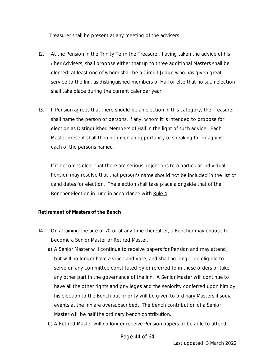Treasurer shall be present at any meeting of the advisers.

- 12. At the Pension in the Trinity Term the Treasurer, having taken the advice of his /her Advisers, shall propose either that up to three additional Masters shall be elected, at least one of whom shall be a Circuit Judge who has given great service to the Inn, as distinguished members of Hall or else that no such election shall take place during the current calendar year.
- 13. If Pension agrees that there should be an election in this category, the Treasurer shall name the person or persons, if any, whom it is intended to propose for election as Distinguished Members of Hall in the light of such advice. Each Master present shall then be given an opportunity of speaking for or against each of the persons named.

If it becomes clear that there are serious objections to a particular individual, Pension may resolve that that person's name should not be included in the list of candidates for election. The election shall take place alongside that of the Bencher Election in June in accordance with Rule 4.

#### **Retirement of Masters of the Bench**

- 14 On attaining the age of 70 or at any time thereafter, a Bencher may choose to become a Senior Master or Retired Master.
	- a) A Senior Master will continue to receive papers for Pension and may attend, but will no longer have a voice and vote, and shall no longer be eligible to serve on any committee constituted by or referred to in these orders or take any other part in the governance of the Inn. A Senior Master will continue to have all the other rights and privileges and the seniority conferred upon him by his election to the Bench but priority will be given to ordinary Masters if social events at the Inn are oversubscribed. The bench contribution of a Senior Master will be half the ordinary bench contribution.
	- b) A Retired Master will no longer receive Pension papers or be able to attend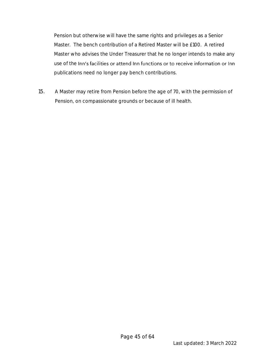Pension but otherwise will have the same rights and privileges as a Senior Master. The bench contribution of a Retired Master will be £100. A retired Master who advises the Under Treasurer that he no longer intends to make any use of the Inn's facilities or attend Inn functions or to receive information or Inn publications need no longer pay bench contributions.

15. A Master may retire from Pension before the age of 70, with the permission of Pension, on compassionate grounds or because of ill health.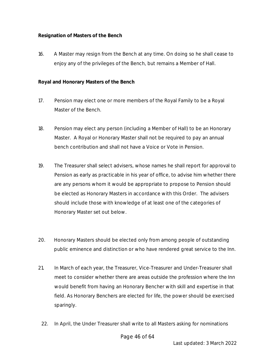**Resignation of Masters of the Bench**

16. A Master may resign from the Bench at any time. On doing so he shall cease to enjoy any of the privileges of the Bench, but remains a Member of Hall.

**Royal and Honorary Masters of the Bench**

- 17. Pension may elect one or more members of the Royal Family to be a Royal Master of the Bench.
- 18. Pension may elect any person (including a Member of Hall) to be an Honorary Master. A Royal or Honorary Master shall not be required to pay an annual bench contribution and shall not have a Voice or Vote in Pension.
- 19. The Treasurer shall select advisers, whose names he shall report for approval to Pension as early as practicable in his year of office, to advise him whether there are any persons whom it would be appropriate to propose to Pension should be elected as Honorary Masters in accordance with this Order. The advisers should include those with knowledge of at least one of the categories of Honorary Master set out below.
- 20. Honorary Masters should be elected only from among people of outstanding public eminence and distinction or who have rendered great service to the Inn.
- 21. In March of each year, the Treasurer, Vice-Treasurer and Under-Treasurer shall meet to consider whether there are areas outside the profession where the Inn would benefit from having an Honorary Bencher with skill and expertise in that field. As Honorary Benchers are elected for life, the power should be exercised sparingly.
- 22. In April, the Under Treasurer shall write to all Masters asking for nominations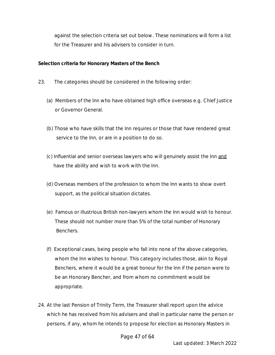against the selection criteria set out below. These nominations will form a list for the Treasurer and his advisers to consider in turn.

**Selection criteria for Honorary Masters of the Bench**

- 23. The categories should be considered in the following order:
	- (a) Members of the Inn who have obtained high office overseas e.g. Chief Justice or Governor General.
	- (b) Those who have skills that the Inn requires or those that have rendered great service to the Inn, or are in a position to do so.
	- (c) Influential and senior overseas lawyers who will genuinely assist the Inn and have the ability and wish to work with the Inn.
	- (d) Overseas members of the profession to whom the Inn wants to show overt support, as the political situation dictates.
	- (e) Famous or illustrious British non-lawyers whom the Inn would wish to honour. These should not number more than 5% of the total number of Honorary Benchers.
	- (f) Exceptional cases, being people who fall into none of the above categories, whom the Inn wishes to honour. This category includes those, akin to Royal Benchers, where it would be a great honour for the Inn if the person were to be an Honorary Bencher, and from whom no commitment would be appropriate.
- 24. At the last Pension of Trinity Term, the Treasurer shall report upon the advice which he has received from his advisers and shall in particular name the person or persons, if any, whom he intends to propose for election as Honorary Masters in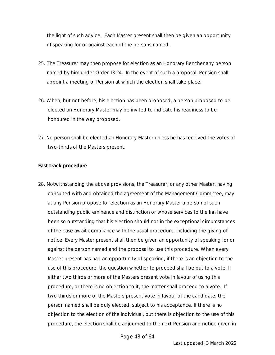the light of such advice. Each Master present shall then be given an opportunity of speaking for or against each of the persons named.

- 25. The Treasurer may then propose for election as an Honorary Bencher any person named by him under Order 13.24. In the event of such a proposal, Pension shall appoint a meeting of Pension at which the election shall take place.
- 26. When, but not before, his election has been proposed, a person proposed to be elected an Honorary Master may be invited to indicate his readiness to be honoured in the way proposed.
- 27. No person shall be elected an Honorary Master unless he has received the votes of two-thirds of the Masters present.

**Fast track procedure**

28. Notwithstanding the above provisions, the Treasurer, or any other Master, having consulted with and obtained the agreement of the Management Committee, may at any Pension propose for election as an Honorary Master a person of such outstanding public eminence and distinction or whose services to the Inn have been so outstanding that his election should not in the exceptional circumstances of the case await compliance with the usual procedure, including the giving of notice. Every Master present shall then be given an opportunity of speaking for or against the person named and the proposal to use this procedure. When every Master present has had an opportunity of speaking, if there is an objection to the use of this procedure, the question whether to proceed shall be put to a vote. If either two thirds or more of the Masters present vote in favour of using this procedure, or there is no objection to it, the matter shall proceed to a vote. If two thirds or more of the Masters present vote in favour of the candidate, the person named shall be duly elected, subject to his acceptance. If there is no objection to the election of the individual, but there is objection to the use of this procedure, the election shall be adjourned to the next Pension and notice given in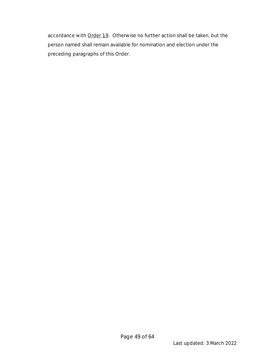accordance with Order 1.9. Otherwise no further action shall be taken, but the person named shall remain available for nomination and election under the preceding paragraphs of this Order.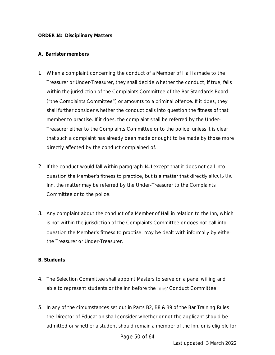#### **A. Barrister members**

- 1. When a complaint concerning the conduct of a Member of Hall is made to the Treasurer or Under-Treasurer, they shall decide whether the conduct, if true, falls within the jurisdiction of the Complaints Committee of the Bar Standards Board ("the Complaints Committee") or amounts to a criminal offence. If it does, they shall further consider whether the conduct calls into question the fitness of that member to practise. If it does, the complaint shall be referred by the Under-Treasurer either to the Complaints Committee or to the police, unless it is clear that such a complaint has already been made or ought to be made by those more directly affected by the conduct complained of.
- 2. If the conduct would fall within paragraph 14.1 except that it does not call into question the Member's fitness to practice, but is a matter that directly affects the Inn, the matter may be referred by the Under-Treasurer to the Complaints Committee or to the police.
- 3. Any complaint about the conduct of a Member of Hall in relation to the Inn, which is not within the jurisdiction of the Complaints Committee or does not call into question the Member's fitness to practise, may be dealt with informally by either the Treasurer or Under-Treasurer.

#### **B. Students**

- 4. The Selection Committee shall appoint Masters to serve on a panel willing and able to represent students or the Inn before the Inns' Conduct Committee
- 5. In any of the circumstances set out in Parts B2, B8 & B9 of the Bar Training Rules the Director of Education shall consider whether or not the applicant should be admitted or whether a student should remain a member of the Inn, or is eligible for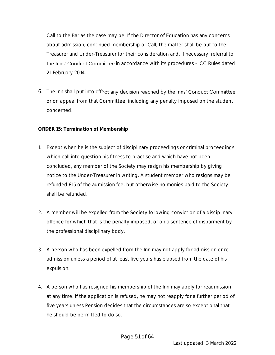Call to the Bar as the case may be. If the Director of Education has any concerns about admission, continued membership or Call, the matter shall be put to the Treasurer and Under-Treasurer for their consideration and, if necessary, referral to the Inns' Conduct Committee in accordance with its procedures - ICC Rules dated 21 February 2014.

6. The Inn shall put into effect any decision reached by the Inns' Conduct Committee, or on appeal from that Committee, including any penalty imposed on the student concerned.

#### *ORDER 15: Termination of Membership*

- 1. Except when he is the subject of disciplinary proceedings or criminal proceedings which call into question his fitness to practise and which have not been concluded, any member of the Society may resign his membership by giving notice to the Under-Treasurer in writing. A student member who resigns may be refunded £15 of the admission fee, but otherwise no monies paid to the Society shall be refunded.
- 2. A member will be expelled from the Society following conviction of a disciplinary offence for which that is the penalty imposed, or on a sentence of disbarment by the professional disciplinary body.
- 3. A person who has been expelled from the Inn may not apply for admission or readmission unless a period of at least five years has elapsed from the date of his expulsion.
- 4. A person who has resigned his membership of the Inn may apply for readmission at any time. If the application is refused, he may not reapply for a further period of five years unless Pension decides that the circumstances are so exceptional that he should be permitted to do so.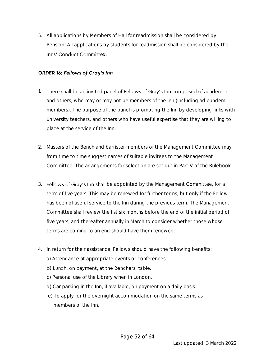5. All applications by Members of Hall for readmission shall be considered by Pension. All applications by students for readmission shall be considered by the Inns' Conduct Committee.

#### **ORDER 16: Fellows of Gray's Inn**

- 1. There shall be an invited panel of Fellows of Gray's Inn composed of academics and others, who may or may not be members of the Inn (including ad eundem members). The purpose of the panel is promoting the Inn by developing links with university teachers, and others who have useful expertise that they are willing to place at the service of the Inn.
- 2. Masters of the Bench and barrister members of the Management Committee may from time to time suggest names of suitable invitees to the Management Committee. The arrangements for selection are set out in Part V of the Rulebook.
- 3. Fellows of Gray's Inn shall be appointed by the Management Committee, for a term of five years. This may be renewed for further terms, but only if the Fellow has been of useful service to the Inn during the previous term. The Management Committee shall review the list six months before the end of the initial period of five years, and thereafter annually in March to consider whether those whose terms are coming to an end should have them renewed.
- 4. In return for their assistance, Fellows should have the following benefits:
	- a) Attendance at appropriate events or conferences.
	- b) Lunch, on payment, at the Benchers' table.
	- c) Personal use of the Library when in London.
	- d) Car parking in the Inn, if available, on payment on a daily basis.
	- e) To apply for the overnight accommodation on the same terms as members of the Inn.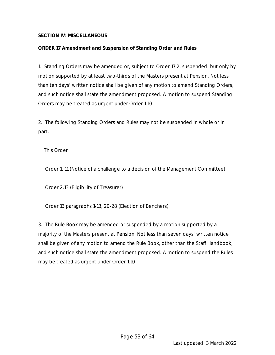#### **SECTION IV: MISCELLANEOUS**

#### *ORDER 17 Amendment and Suspension of Standing Order and Rules*

1. Standing Orders may be amended or, subject to Order 17.2, suspended, but only by motion supported by at least two-thirds of the Masters present at Pension. Not less than ten days' written notice shall be given of any motion to amend Standing Orders, and such notice shall state the amendment proposed. A motion to suspend Standing Orders may be treated as urgent under Order 1.10.

2. The following Standing Orders and Rules may not be suspended in whole or in part:

This Order

Order 1. 11 (Notice of a challenge to a decision of the Management Committee).

Order 2.13 (Eligibility of Treasurer)

Order 13 paragraphs 1-13, 20-28 (Election of Benchers)

3. The Rule Book may be amended or suspended by a motion supported by a majority of the Masters present at Pension. Not less than seven days' written notice shall be given of any motion to amend the Rule Book, other than the Staff Handbook, and such notice shall state the amendment proposed. A motion to suspend the Rules may be treated as urgent under Order 1.10.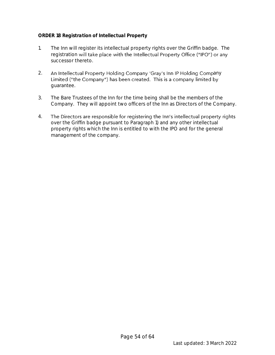#### *ORDER 18 Registration of Intellectual Property*

- 1. The Inn will register its intellectual property rights over the Griffin badge. The registration will take place with the Intellectual Property Office ("IPO") or any successor thereto.
- 2. An Intellectual Property Holding Company 'Gray's Inn IP Holding Company Limited ("the Company") has been created. This is a company limited by guarantee.
- 3. The Bare Trustees of the Inn for the time being shall be the members of the Company. They will appoint two officers of the Inn as Directors of the Company.
- 4. The Directors are responsible for registering the Inn's intellectual property rights over the Griffin badge pursuant to Paragraph 1) and any other intellectual property rights which the Inn is entitled to with the IPO and for the general management of the company.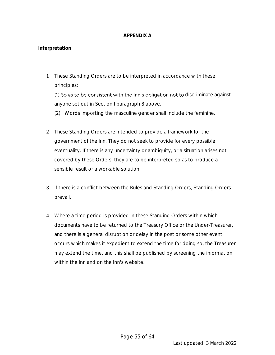#### **APPENDIX A**

#### **Interpretation**

1 These Standing Orders are to be interpreted in accordance with these principles:

(1) So as to be consistent with the Inn's obligation not to discriminate against anyone set out in Section I paragraph 8 above.

(2) Words importing the masculine gender shall include the feminine.

- 2 These Standing Orders are intended to provide a framework for the government of the Inn. They do not seek to provide for every possible eventuality. If there is any uncertainty or ambiguity, or a situation arises not covered by these Orders, they are to be interpreted so as to produce a sensible result or a workable solution.
- 3 If there is a conflict between the Rules and Standing Orders, Standing Orders prevail.
- 4 Where a time period is provided in these Standing Orders within which documents have to be returned to the Treasury Office or the Under-Treasurer, and there is a general disruption or delay in the post or some other event occurs which makes it expedient to extend the time for doing so, the Treasurer may extend the time, and this shall be published by screening the information within the Inn and on the Inn's website.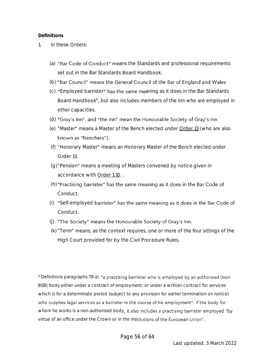#### **Definitions**

- 1. In these Orders:
	- (a) "Bar Code of Conduct" means the Standards and professional requirements set out in the Bar Standards Board Handbook.
	- (b) "Bar Council" means the General Council of the Bar of England and Wales
	- (c) "Employed barrister" has the same meaning as it does in the Bar Standards Board Handbook<sup>6</sup>, but also includes members of the Inn who are employed in other capacities.
	- (d) "Gray's Inn", and "the Inn" mean the Honourable Society of Gray's Inn
	- (e) "Master" means a Master of the Bench elected under Order 13 (who are also known as "Benchers").
	- (f) "Honorary Master" means an Honorary Master of the Bench elected under Order 13.
	- (g)"Pension" means a meeting of Masters convened by notice given in accordance with Order 1.10. .
	- (h) "Practising barrister" has the same meaning as it does in the Bar Code of Conduct.
	- (i) "Self-employed barrister" has the same meaning as it does in the Bar Code of Conduct.
	- (j) "The Society" means the Honourable Society of Gray's Inn.
	- (k) "Term" means, as the context requires, one or more of the four sittings of the High Court provided for by the Civil Procedure Rules.

 $6$  Definitions paragraphs 78-81 "a practising barrister who is employed by an authorised (non-BSB) body either under a contract of employment; or under a written contract for services which is for a determinate period (subject to any provision for earlier termination on notice) who supplies legal services as a barrister in the course of his employment". If the body for whom he works is a non-authorised body, it also includes a practising barrister employed "by virtue of an office under the Crown or in the institutions of the European Union".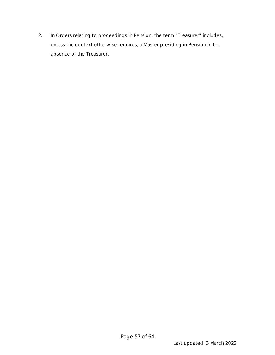2. In Orders relating to proceedings in Pension, the term "Treasurer" includes, unless the context otherwise requires, a Master presiding in Pension in the absence of the Treasurer.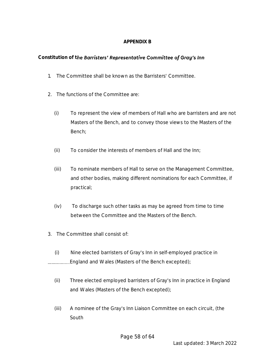#### **APPENDIX B**

#### Constitution of the Barristers' Representative Committee of Gray's Inn

- 1. The Committee shall be known as the Barristers' Committee.
- 2. The functions of the Committee are:
	- (i) To represent the view of members of Hall who are barristers and are not Masters of the Bench, and to convey those views to the Masters of the Bench;
	- (ii) To consider the interests of members of Hall and the Inn;
	- (iii) To nominate members of Hall to serve on the Management Committee, and other bodies, making different nominations for each Committee, if practical;
	- (iv) To discharge such other tasks as may be agreed from time to time between the Committee and the Masters of the Bench.
- 3. The Committee shall consist of:
- (i) Nine elected barristers of Gray's Inn in self-employed practice in ..................England and Wales (Masters of the Bench excepted);
	- (ii) Three elected employed barristers of Gray's Inn in practice in England and Wales (Masters of the Bench excepted);
	- (iii) A nominee of the Gray's Inn Liaison Committee on each circuit, (the South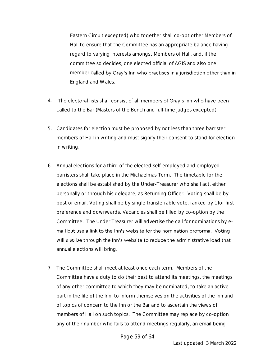Eastern Circuit excepted) who together shall co-opt other Members of Hall to ensure that the Committee has an appropriate balance having regard to varying interests amongst Members of Hall, and, if the committee so decides, one elected official of AGIS and also one member called by Gray's Inn who practises in a jurisdiction other than in England and Wales.

- 4. The electoral lists shall consist of all members of Gray's Inn who have been called to the Bar (Masters of the Bench and full-time judges excepted)
- 5. Candidates for election must be proposed by not less than three barrister members of Hall in writing and must signify their consent to stand for election in writing.
- 6. Annual elections for a third of the elected self-employed and employed barristers shall take place in the Michaelmas Term. The timetable for the elections shall be established by the Under-Treasurer who shall act, either personally or through his delegate, as Returning Officer. Voting shall be by post or email. Voting shall be by single transferrable vote, ranked by 1 for first preference and downwards. Vacancies shall be filled by co-option by the Committee. The Under Treasurer will advertise the call for nominations by email but use a link to the Inn's website for the nomination proforma. Voting will also be through the Inn's website to reduce the administrative load that annual elections will bring.
- 7. The Committee shall meet at least once each term. Members of the Committee have a duty to do their best to attend its meetings, the meetings of any other committee to which they may be nominated, to take an active part in the life of the Inn, to inform themselves on the activities of the Inn and of topics of concern to the Inn or the Bar and to ascertain the views of members of Hall on such topics. The Committee may replace by co-option any of their number who fails to attend meetings regularly, an email being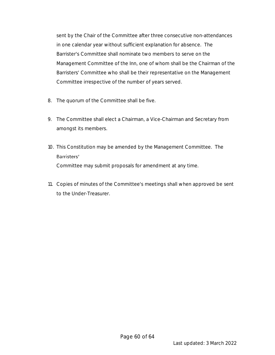sent by the Chair of the Committee after three consecutive non-attendances in one calendar year without sufficient explanation for absence. The Barrister's Committee shall nominate two members to serve on the Management Committee of the Inn, one of whom shall be the Chairman of the Barristers' Committee who shall be their representative on the Management Committee irrespective of the number of years served.

- 8. The quorum of the Committee shall be five.
- 9. The Committee shall elect a Chairman, a Vice-Chairman and Secretary from amongst its members.
- 10. This Constitution may be amended by the Management Committee. The Barristers' Committee may submit proposals for amendment at any time.
- 11. Copies of minutes of the Committee's meetings shall when approved be sent to the Under-Treasurer.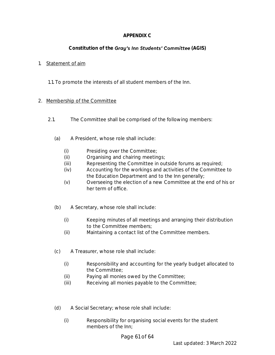#### **APPENDIX C**

#### Constitution of the Gray's Inn Students' Committee (AGIS)

#### 1. Statement of aim

1.1. To promote the interests of all student members of the Inn.

#### 2. Membership of the Committee

- 2.1. The Committee shall be comprised of the following members:
	- (a) A President, whose role shall include:
		- (i) Presiding over the Committee;
		- (ii) Organising and chairing meetings;
		- (iii) Representing the Committee in outside forums as required;
		- (iv) Accounting for the workings and activities of the Committee to the Education Department and to the Inn generally;
		- (v) Overseeing the election of a new Committee at the end of his or her term of office.
	- (b) A Secretary, whose role shall include:
		- (i) Keeping minutes of all meetings and arranging their distribution to the Committee members;
		- (ii) Maintaining a contact list of the Committee members.
	- (c) A Treasurer, whose role shall include:
		- (i) Responsibility and accounting for the yearly budget allocated to the Committee;
		- (ii) Paying all monies owed by the Committee;
		- (iii) Receiving all monies payable to the Committee;
	- (d) A Social Secretary; whose role shall include:
		- (i) Responsibility for organising social events for the student members of the Inn;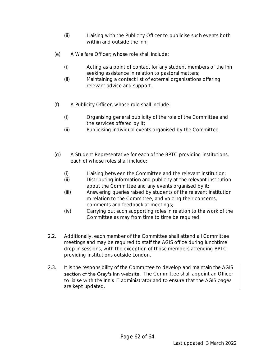- (ii) Liaising with the Publicity Officer to publicise such events both within and outside the Inn;
- (e) A Welfare Officer; whose role shall include:
	- (i) Acting as a point of contact for any student members of the Inn seeking assistance in relation to pastoral matters;
	- (ii) Maintaining a contact list of external organisations offering relevant advice and support.
- (f) A Publicity Officer, whose role shall include:
	- (i) Organising general publicity of the role of the Committee and the services offered by it;
	- (ii) Publicising individual events organised by the Committee.
- (g) A Student Representative for each of the BPTC providing institutions, each of whose roles shall include:
	- (i) Liaising between the Committee and the relevant institution;
	- (ii) Distributing information and publicity at the relevant institution about the Committee and any events organised by it;
	- (iii) Answering queries raised by students of the relevant institution m relation to the Committee, and voicing their concerns, comments and feedback at meetings;
	- (iv) Carrying out such supporting roles in relation to the work of the Committee as may from time to time be required;
- 2.2. Additionally, each member of the Committee shall attend all Committee meetings and may be required to staff the AGIS office during lunchtime drop in sessions, with the exception of those members attending BPTC providing institutions outside London.
- 2.3. It is the responsibility of the Committee to develop and maintain the AGIS section of the Gray's Inn website. The Committee shall appoint an Officer to liaise with the Inn's IT administrator and to ensure that the AGIS pages are kept updated.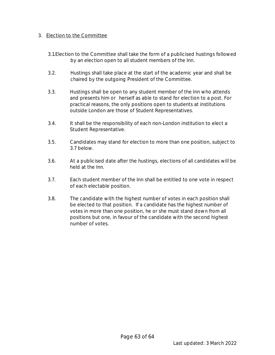#### 3. Election to the Committee

- 3.1.Election to the Committee shall take the form of a publicised hustings followed by an election open to all student members of the Inn.
- 3.2. Hustings shall take place at the start of the academic year and shall be chaired by the outgoing President of the Committee.
- 3.3. Hustings shall be open to any student member of the Inn who attends and presents him or herself as able to stand for election to a post. For practical reasons, the only positions open to students at institutions outside London are those of Student Representatives.
- 3.4. It shall be the responsibility of each non-London institution to elect a Student Representative.
- 3.5. Candidates may stand for election to more than one position, subject to 3.7 below.
- 3.6. At a publicised date after the hustings, elections of all candidates will be held at the Inn.
- 3.7. Each student member of the Inn shall be entitled to one vote in respect of each electable position.
- 3.8. The candidate with the highest number of votes in each position shall be elected to that position. If a candidate has the highest number of votes in more than one position, he or she must stand down from all positions but one, in favour of the candidate with the second highest number of votes.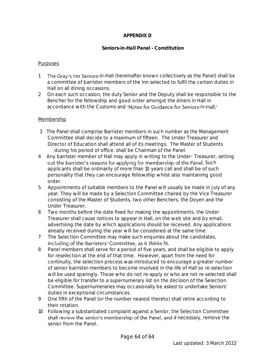#### **APPENDIX D**

#### *Seniors-in-Hall Panel - Constitution*

#### Purposes

- 1 The Gray's Inn Seniors-in-Hall (hereinafter known collectively as the Panel) shall be a committee of barrister members of the Inn selected to fulfil the certain duties in Hall on all dining occasions.
- 2 On each such occasion, the duty Senior and the Deputy shall be responsible to the Bencher for the fellowship and good order amongst the diners in Hall in accordance with the Customs and 'Notes for Guidance for Seniors-in-Hall.'

#### Membership

- 3 The Panel shall comprise Barrister members in such number as the Management Committee shall decide to a maximum of fifteen. The Under Treasurer and Director of Education shall attend all of its meetings. The Master of Students during his period of office, shall be Chairman of the Panel.
- 4 Any barrister member of Hall may apply in writing to the Under- Treasurer, setting out the barrister's reasons for applying for membership of the Panel. Such applicants shall be ordinarily of more than 10 years call and shall be of such personality that they can encourage fellowship whilst also maintaining good order.
- 5 Appointments of suitable members to the Panel will usually be made in July of any year. They will be made by a Selection Committee chaired by the Vice Treasurer consisting of the Master of Students, two other Benchers, the Doyen and the Under Treasurer.
- 6 Two months before the date fixed for making the appointments, the Under Treasurer shall cause notices to appear in Hall, on the web site and by email, advertising the date by which applications should be received. Any applications already received during the year will be considered at the same time
- 7 The Selection Committee may make such enquiries about the candidates, including of the Barristers' Committee, as it thinks fit.
- 8 Panel members shall serve for a period of five years, and shall be eligible to apply for reselection at the end of that time. However, apart from the need for continuity, the selection process was introduced to encourage a greater number of senior barrister-members to become involved in the life of Hall so re-selection will be used sparingly. Those who do not re-apply or who are not re-selected shall be eligible for transfer to a supernumerary list on the decision of the Selection Committee. Supernumeraries may occasionally be asked to undertake Seniors' duties in exceptional circumstances.
- 9 One fifth of the Panel (or the number nearest thereto) shall retire according to their rotation.
- 10 Following a substantiated complaint against a Senior, the Selection Committee shall review the senior's membership of the Panel, and if necessary, remove the senior from the Panel.